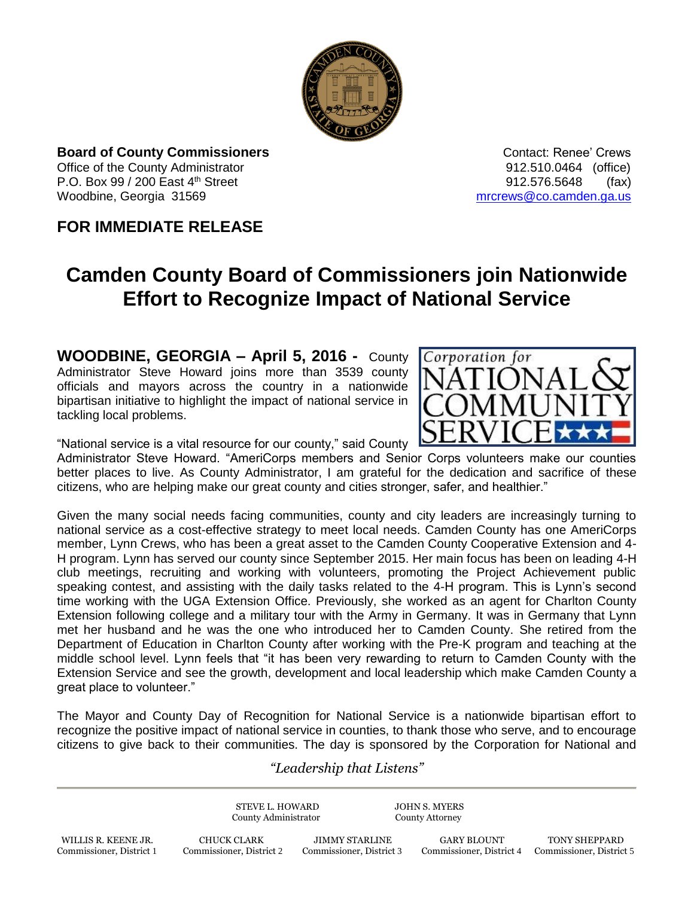

**Board of County Commissioners Contact: Renee' Crews Contact: Renee' Crews** Office of the County Administrator 912.510.0464 (office) P.O. Box 99 / 200 East 4<sup>th</sup> Street 912.576.5648 (fax) Woodbine, Georgia 31569 [mrcrews@co.camden.ga.us](mailto:mrcrews@co.camden.ga.us)

## **FOR IMMEDIATE RELEASE**

## **Camden County Board of Commissioners join Nationwide Effort to Recognize Impact of National Service**

**WOODBINE, GEORGIA – April 5, 2016 -** County Administrator Steve Howard joins more than 3539 county officials and mayors across the country in a nationwide bipartisan initiative to highlight the impact of national service in tackling local problems.



"National service is a vital resource for our county," said County

Administrator Steve Howard. "AmeriCorps members and Senior Corps volunteers make our counties better places to live. As County Administrator, I am grateful for the dedication and sacrifice of these citizens, who are helping make our great county and cities stronger, safer, and healthier."

Given the many social needs facing communities, county and city leaders are increasingly turning to national service as a cost-effective strategy to meet local needs. Camden County has one AmeriCorps member, Lynn Crews, who has been a great asset to the Camden County Cooperative Extension and 4- H program. Lynn has served our county since September 2015. Her main focus has been on leading 4-H club meetings, recruiting and working with volunteers, promoting the Project Achievement public speaking contest, and assisting with the daily tasks related to the 4-H program. This is Lynn's second time working with the UGA Extension Office. Previously, she worked as an agent for Charlton County Extension following college and a military tour with the Army in Germany. It was in Germany that Lynn met her husband and he was the one who introduced her to Camden County. She retired from the Department of Education in Charlton County after working with the Pre-K program and teaching at the middle school level. Lynn feels that "it has been very rewarding to return to Camden County with the Extension Service and see the growth, development and local leadership which make Camden County a great place to volunteer."

The Mayor and County Day of Recognition for National Service is a nationwide bipartisan effort to recognize the positive impact of national service in counties, to thank those who serve, and to encourage citizens to give back to their communities. The day is sponsored by the Corporation for National and

## *"Leadership that Listens"*

STEVE L. HOWARD JOHN S. MYERS County Administrator County Attorney

WILLIS R. KEENE JR. CHUCK CLARK JIMMY STARLINE GARY BLOUNT TONY SHEPPARD